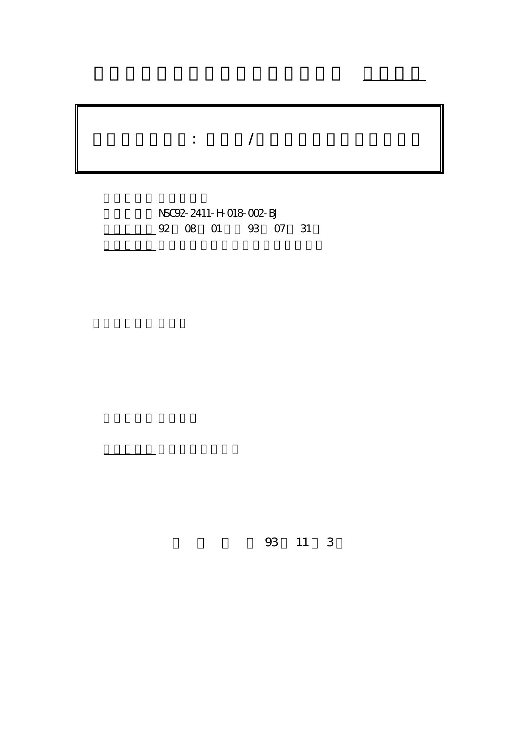## $\ddot{\hspace{1.5cm}}$ :  $\hspace{1.5cm}$ /

行政院國家科學委員會專題研究計畫 成果報告

計畫編號: NSC92-2411-H-018-002-BJ 02 08 01 03 07 31

計畫主持人: 張月珍

報告類型: 精簡報告

。<br>在前書 : 本計畫可公開查詢

93 11 3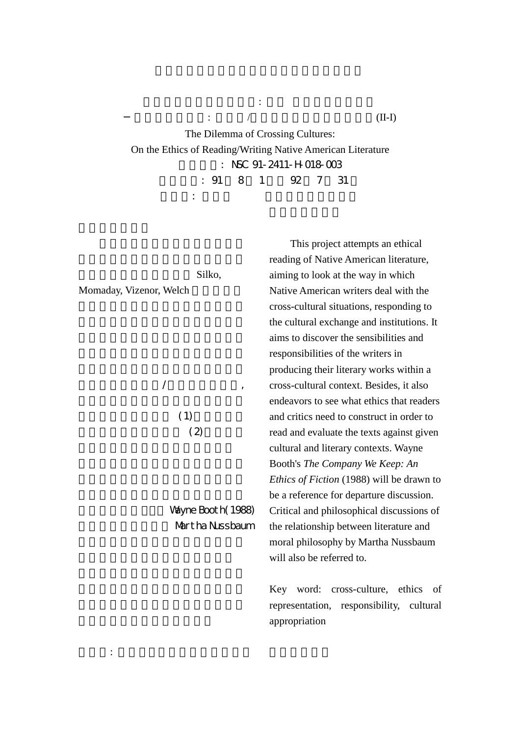The Dilemma of Crossing Cultures: On the Ethics of Reading/Writing Native American Literature  $:$  NSC 91-2411-H-018-003 1 92 7 31 1 92 7 31

主持人: 張月珍 彰化師範大學英語系

蛻變中的北美原住民文學: 詩學 文化與族群的交織

Silko,

Momaday, Vizenor, Welch

 $\mathcal{A}$ , and the contract of  $\mathcal{A}$ 

 $(1)$  $(2)$ 

Wayne Booth(1988) Martha Nussbaum

This project attempts an ethical reading of Native American literature, aiming to look at the way in which Native American writers deal with the cross-cultural situations, responding to the cultural exchange and institutions. It aims to discover the sensibilities and responsibilities of the writers in producing their literary works within a cross-cultural context. Besides, it also endeavors to see what ethics that readers and critics need to construct in order to read and evaluate the texts against given cultural and literary contexts. Wayne Booth's *The Company We Keep: An Ethics of Fiction* (1988) will be drawn to be a reference for departure discussion. Critical and philosophical discussions of the relationship between literature and moral philosophy by Martha Nussbaum will also be referred to.

Key word: cross-culture, ethics of representation, responsibility, cultural appropriation

 $\therefore$  /  $(\text{II-I})$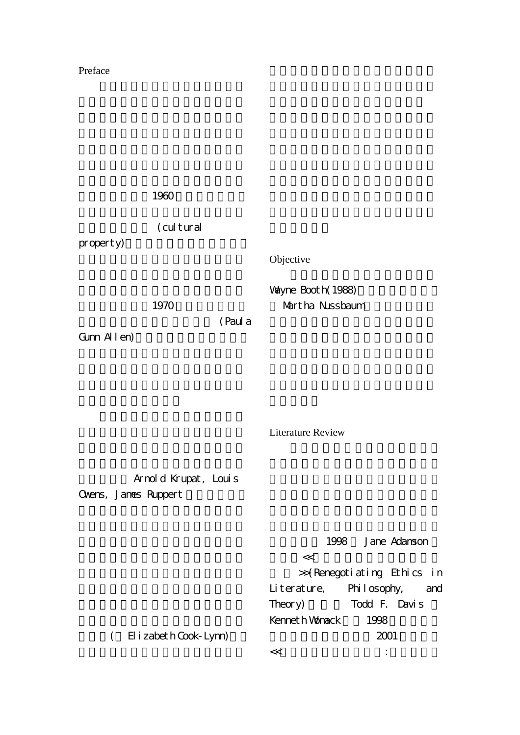## Preface

1960 (cultural  $property$ ) 1970 (Paul a Gunn Allen) Objective Wayne Booth(1988) Martha Nussbaum

Literature Review

Arnold Krupat, Louis Ovens, James Ruppert

> ( Elizabeth Cook-Lynn) 1998 Jane Adamson  $<<$ >>(Renegotiating Ethics in Literature, Philosophy, and Theory) Todd F. Davis Kenneth Womack 1998 倫理批評編輯而成,於 2001 年出版的  $<<$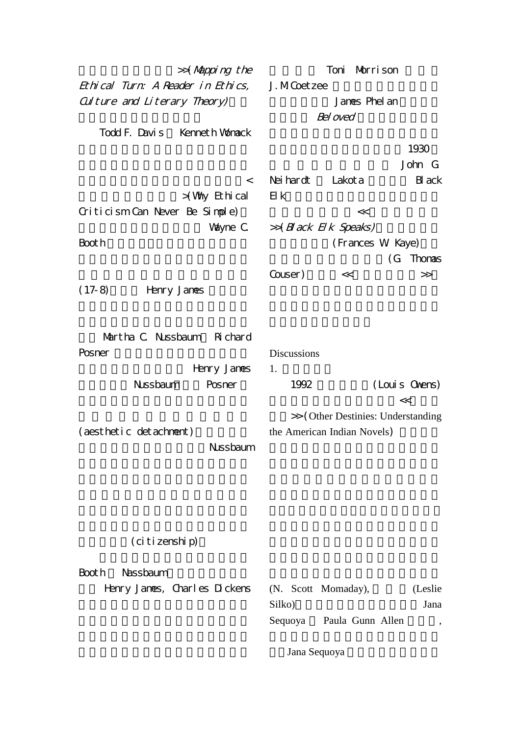>>(Mapping the Ethical Turn: A Reader in Ethics, Culture and Literary Theory) Todd F. Davis Kenneth Womack  $\mathcal{L}$ >(Why Ethical Criticism Can Never Be Simple)一 Vayne C. Booth <sub>1</sub>  $(17-8)$  Henry James Nartha C. Nussbaum Richard Posner Henry James Nussbaum, Posner (aesthetic detachment) Nussbaum Toni Morrison J. M.Coetzee James Phelan Bel oved 1930 John G. Neihardt Lakota Black Elk,依其口述靈視經驗,部族歷史所  $<<$  $\gg$ (Black Elk Speaks) (Frances W. Kaye) 從共同書寫傳記的角度(G. Thomas Couser) << >> **Discussions**  $1.$ 1992 (Louis Owens)  $\lt<$ >> (Other Destinies: Understanding the American Indian Novels)

(citizenship)

Booth Nassbaum Henry James, Charles Dickens (N. Scott Momaday), (Leslie Silko) Jana Sequoya Paula Gunn Allen,

Jana Sequoya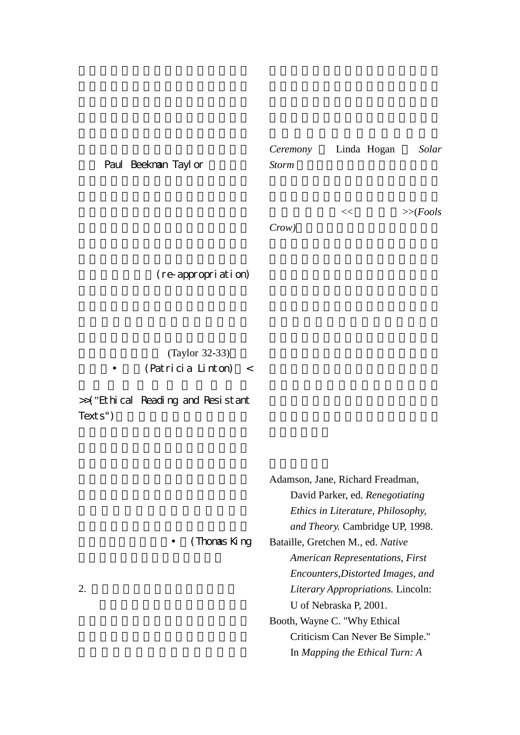Paul Beekman Taylor

*Ceremony* Linda Hogan *Solar*   $Storm$ 

 $<<$   $>>$ (*Fools* 

 $Crow)$ 

(re-appropriation)

(Taylor 32-33)  $(Patri cia Li nton) <$ 

>>("Ethical Reading and Resistant Texts")

| 2. |              | Adamson, Jane, Richard Freadman,       |
|----|--------------|----------------------------------------|
|    |              | David Parker, ed. Renegotiating        |
|    |              | Ethics in Literature, Philosophy,      |
|    |              | and Theory. Cambridge UP, 1998.        |
|    | (Thomas King | Bataille, Gretchen M., ed. Native      |
|    |              | <b>American Representations, First</b> |
|    |              | Encounters, Distorted Images, and      |
|    |              | Literary Appropriations. Lincoln:      |
|    |              | U of Nebraska P, 2001.                 |
|    |              | Booth, Wayne C. "Why Ethical           |
|    |              | Criticism Can Never Be Simple."        |
|    |              | In Mapping the Ethical Turn: A         |
|    |              |                                        |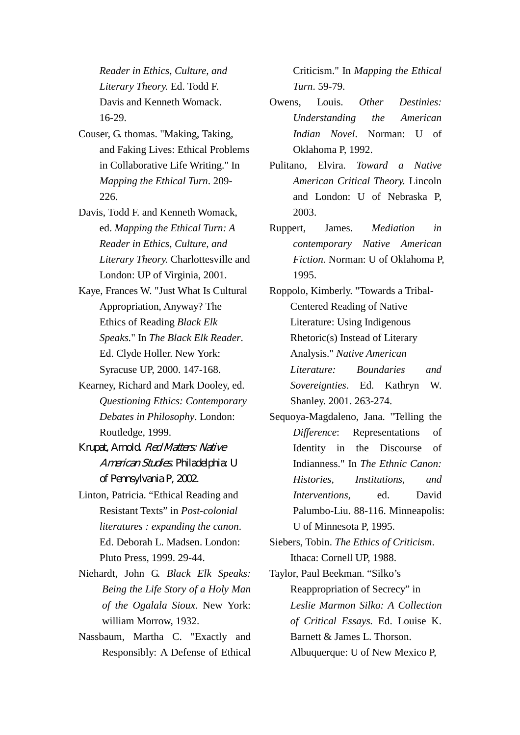*Reader in Ethics, Culture, and Literary Theory.* Ed. Todd F. Davis and Kenneth Womack. 16-29.

- Couser, G. thomas. "Making, Taking, and Faking Lives: Ethical Problems in Collaborative Life Writing." In *Mapping the Ethical Turn*. 209- 226.
- Davis, Todd F. and Kenneth Womack, ed. *Mapping the Ethical Turn: A Reader in Ethics, Culture, and Literary Theory.* Charlottesville and London: UP of Virginia, 2001.
- Kaye, Frances W. "Just What Is Cultural Appropriation, Anyway? The Ethics of Reading *Black Elk Speaks.*" In *The Black Elk Reader*. Ed. Clyde Holler. New York: Syracuse UP, 2000. 147-168.
- Kearney, Richard and Mark Dooley, ed. *Questioning Ethics: Contemporary Debates in Philosophy*. London: Routledge, 1999.
- Krupat, Arnold. Red Matters: Native American Studies. Philadelphia: U of Pennsylvania P, 2002.
- Linton, Patricia. "Ethical Reading and Resistant Texts" in *Post-colonial literatures : expanding the canon*. Ed. Deborah L. Madsen. London: Pluto Press, 1999. 29-44.
- Niehardt, John G. *Black Elk Speaks: Being the Life Story of a Holy Man of the Ogalala Sioux*. New York: william Morrow, 1932.
- Nassbaum, Martha C. "Exactly and Responsibly: A Defense of Ethical

Criticism." In *Mapping the Ethical Turn*. 59-79.

- Owens, Louis. *Other Destinies: Understanding the American Indian Novel*. Norman: U of Oklahoma P, 1992.
- Pulitano, Elvira. *Toward a Native American Critical Theory.* Lincoln and London: U of Nebraska P, 2003.
- Ruppert, James. *Mediation in contemporary Native American Fiction.* Norman: U of Oklahoma P, 1995.

Roppolo, Kimberly. "Towards a Tribal-Centered Reading of Native Literature: Using Indigenous Rhetoric(s) Instead of Literary Analysis." *Native American Literature: Boundaries and Sovereignties*. Ed. Kathryn W. Shanley. 2001. 263-274.

- Sequoya-Magdaleno, Jana. "Telling the *Difference*: Representations of Identity in the Discourse of Indianness." In *The Ethnic Canon: Histories, Institutions, and Interventions,* ed. David Palumbo-Liu. 88-116. Minneapolis: U of Minnesota P, 1995.
- Siebers, Tobin. *The Ethics of Criticism*. Ithaca: Cornell UP, 1988.
- Taylor, Paul Beekman. "Silko's Reappropriation of Secrecy" in *Leslie Marmon Silko: A Collection of Critical Essays.* Ed. Louise K. Barnett & James L. Thorson. Albuquerque: U of New Mexico P,